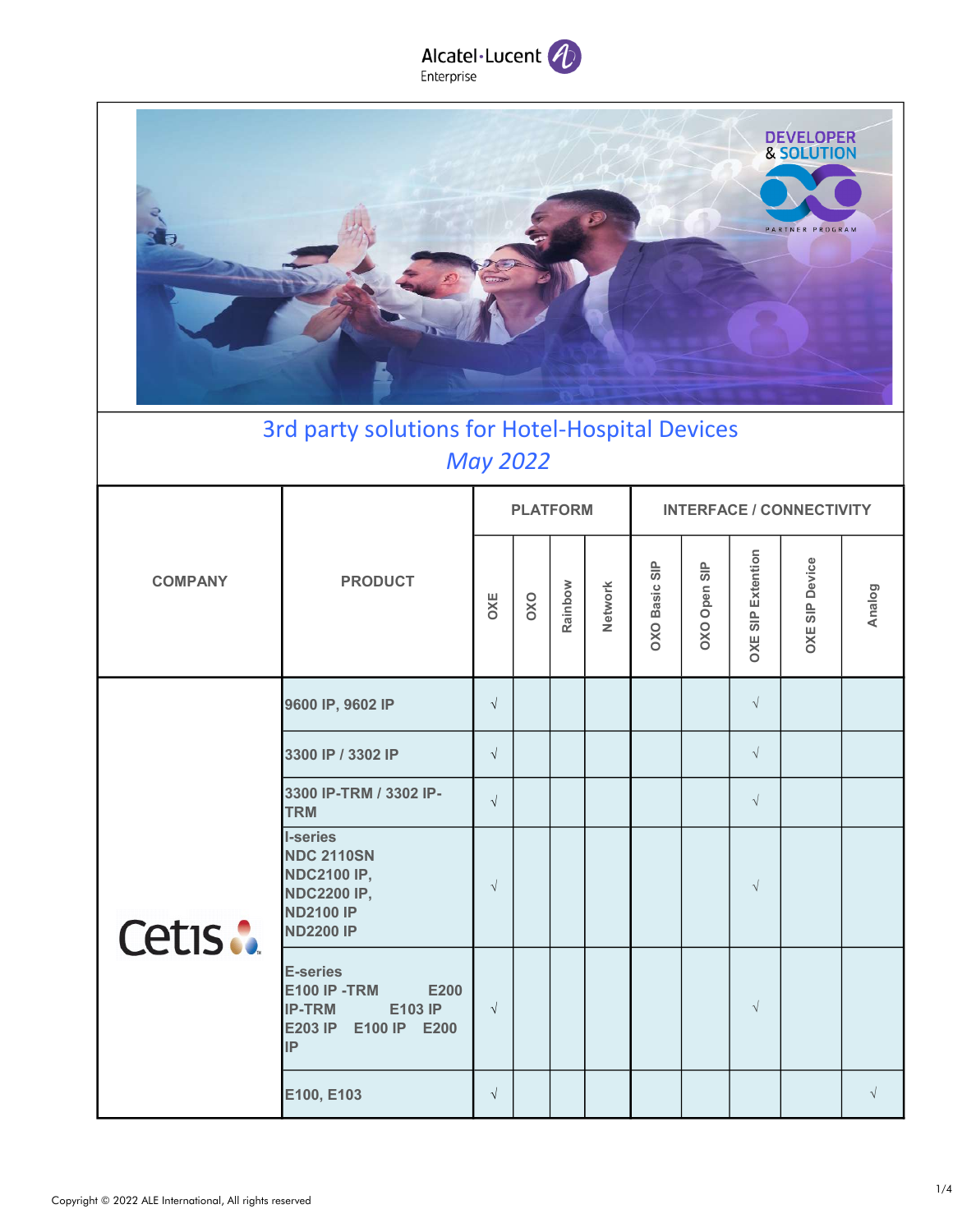

| DEVELOPER       |
|-----------------|
| PARTNER PROGRAM |
|                 |
|                 |

## 3rd party solutions for Hotel-Hospital Devices May 2022

|                |                                                                                                                          |            | <b>PLATFORM</b> |         |         | <b>INTERFACE / CONNECTIVITY</b> |              |                             |                              |           |  |  |
|----------------|--------------------------------------------------------------------------------------------------------------------------|------------|-----------------|---------|---------|---------------------------------|--------------|-----------------------------|------------------------------|-----------|--|--|
| <b>COMPANY</b> | <b>PRODUCT</b>                                                                                                           | OXE        | OXO             | Rainbow | Network | OXO Basic SIP                   | OXO Open SIP | SIP Extention<br><b>DXE</b> | Device<br>$rac{p}{s}$<br>OXE | Analog    |  |  |
|                | 9600 IP, 9602 IP                                                                                                         | $\sqrt{ }$ |                 |         |         |                                 |              | $\sqrt{}$                   |                              |           |  |  |
|                | 3300 IP / 3302 IP                                                                                                        | $\sqrt{ }$ |                 |         |         |                                 |              | $\sqrt{}$                   |                              |           |  |  |
|                | 3300 IP-TRM / 3302 IP-<br><b>TRM</b>                                                                                     | $\sqrt{ }$ |                 |         |         |                                 |              | $\sqrt{}$                   |                              |           |  |  |
| Cetis:         | <b>I-series</b><br><b>NDC 2110SN</b><br><b>NDC2100 IP,</b><br><b>NDC2200 IP,</b><br><b>ND2100 IP</b><br><b>ND2200 IP</b> | $\sqrt{ }$ |                 |         |         |                                 |              | $\sqrt{ }$                  |                              |           |  |  |
|                | <b>E-series</b><br><b>E100 IP -TRM</b><br>E200<br>E103 IP<br><b>IP-TRM</b><br>E100 IP E200<br><b>E203 IP</b><br>IP       | $\sqrt{ }$ |                 |         |         |                                 |              | $\sqrt{ }$                  |                              |           |  |  |
|                | E100, E103                                                                                                               | $\sqrt{ }$ |                 |         |         |                                 |              |                             |                              | $\sqrt{}$ |  |  |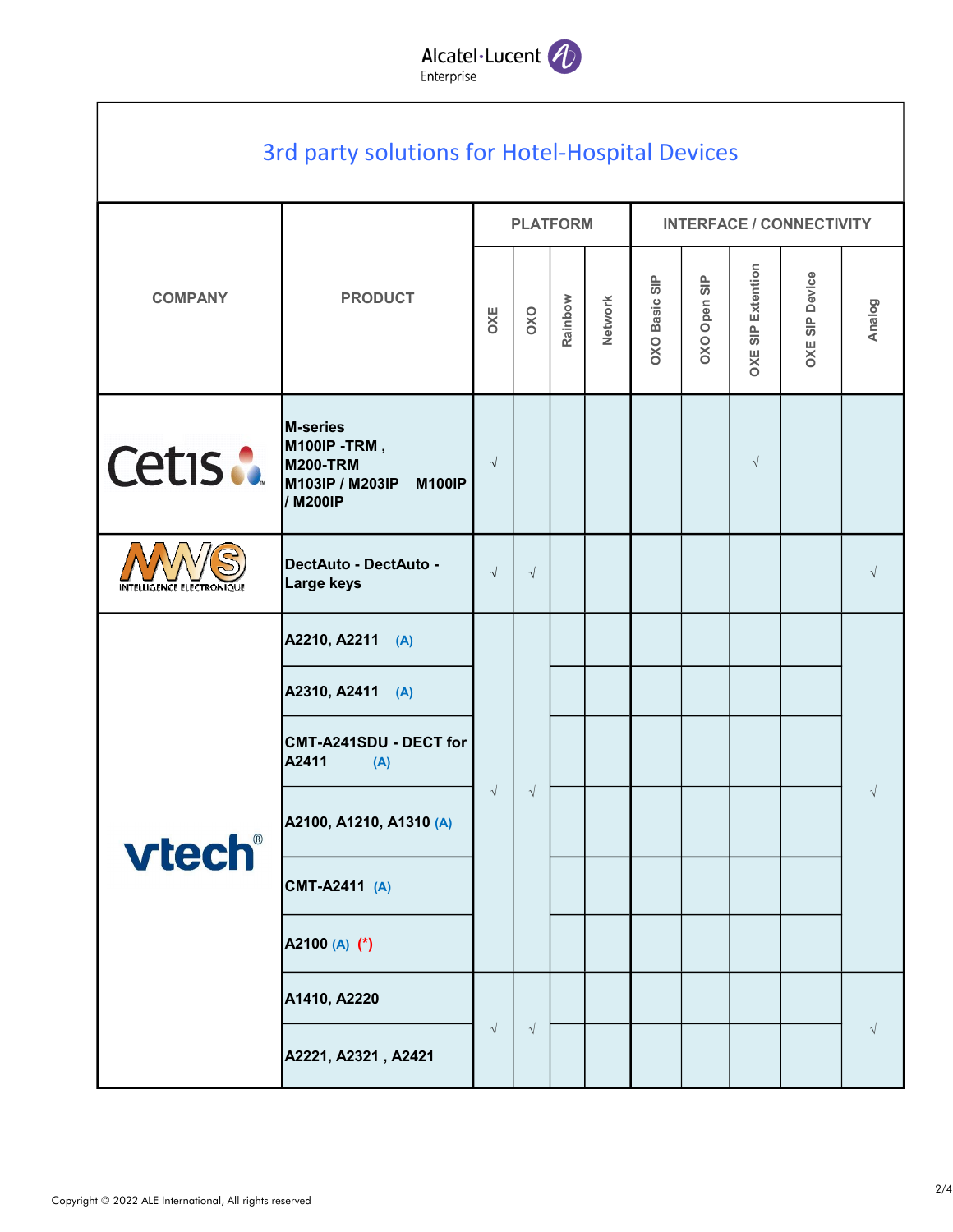

|                | 3rd party solutions for Hotel-Hospital Devices                                                            |            |                 |            |                |                                                     |              |                             |                       |           |  |  |  |           |  |  |  |  |
|----------------|-----------------------------------------------------------------------------------------------------------|------------|-----------------|------------|----------------|-----------------------------------------------------|--------------|-----------------------------|-----------------------|-----------|--|--|--|-----------|--|--|--|--|
|                | <b>PRODUCT</b>                                                                                            |            | <b>PLATFORM</b> |            |                | <b>INTERFACE / CONNECTIVITY</b>                     |              |                             |                       |           |  |  |  |           |  |  |  |  |
| <b>COMPANY</b> |                                                                                                           | OXE        | OXO             | Rainbow    | <b>Network</b> | $\frac{\mathsf{p}}{\mathsf{S}}$<br><b>OXO Basic</b> | OXO Open SIP | Extention<br><b>OXE SIP</b> | <b>OXE SIP Device</b> | Analog    |  |  |  |           |  |  |  |  |
| Cetis :        | <b>M-series</b><br><b>M100IP -TRM,</b><br><b>M200-TRM</b><br>M103IP / M203IP<br><b>M100IP</b><br>/ M200IP | $\sqrt{ }$ |                 |            |                |                                                     |              | $\sqrt{ }$                  |                       |           |  |  |  |           |  |  |  |  |
| ECTRONIOUI     | DectAuto - DectAuto -<br>Large keys                                                                       | $\sqrt{ }$ | $\sqrt{ }$      |            |                |                                                     |              |                             |                       | $\sqrt{}$ |  |  |  |           |  |  |  |  |
| vtech®         | A2210, A2211 (A)                                                                                          |            |                 | $\sqrt{ }$ |                |                                                     |              |                             |                       |           |  |  |  |           |  |  |  |  |
|                | A2310, A2411 (A)                                                                                          |            |                 |            |                |                                                     |              |                             |                       |           |  |  |  |           |  |  |  |  |
|                | CMT-A241SDU - DECT for<br>A2411<br>(A)                                                                    |            |                 |            |                |                                                     |              |                             |                       |           |  |  |  |           |  |  |  |  |
|                | A2100, A1210, A1310 (A)                                                                                   | $\sqrt{ }$ |                 |            |                |                                                     |              |                             |                       |           |  |  |  | $\sqrt{}$ |  |  |  |  |
|                | CMT-A2411 (A)                                                                                             |            |                 |            |                |                                                     |              |                             |                       |           |  |  |  |           |  |  |  |  |
|                | A2100 (A) (*)                                                                                             |            |                 |            |                |                                                     |              |                             |                       |           |  |  |  |           |  |  |  |  |
|                | A1410, A2220                                                                                              |            |                 |            |                |                                                     |              |                             |                       |           |  |  |  |           |  |  |  |  |
|                | A2221, A2321, A2421                                                                                       | $\sqrt{ }$ | $\sqrt{ }$      |            |                |                                                     |              |                             |                       | $\sqrt{}$ |  |  |  |           |  |  |  |  |

г

٦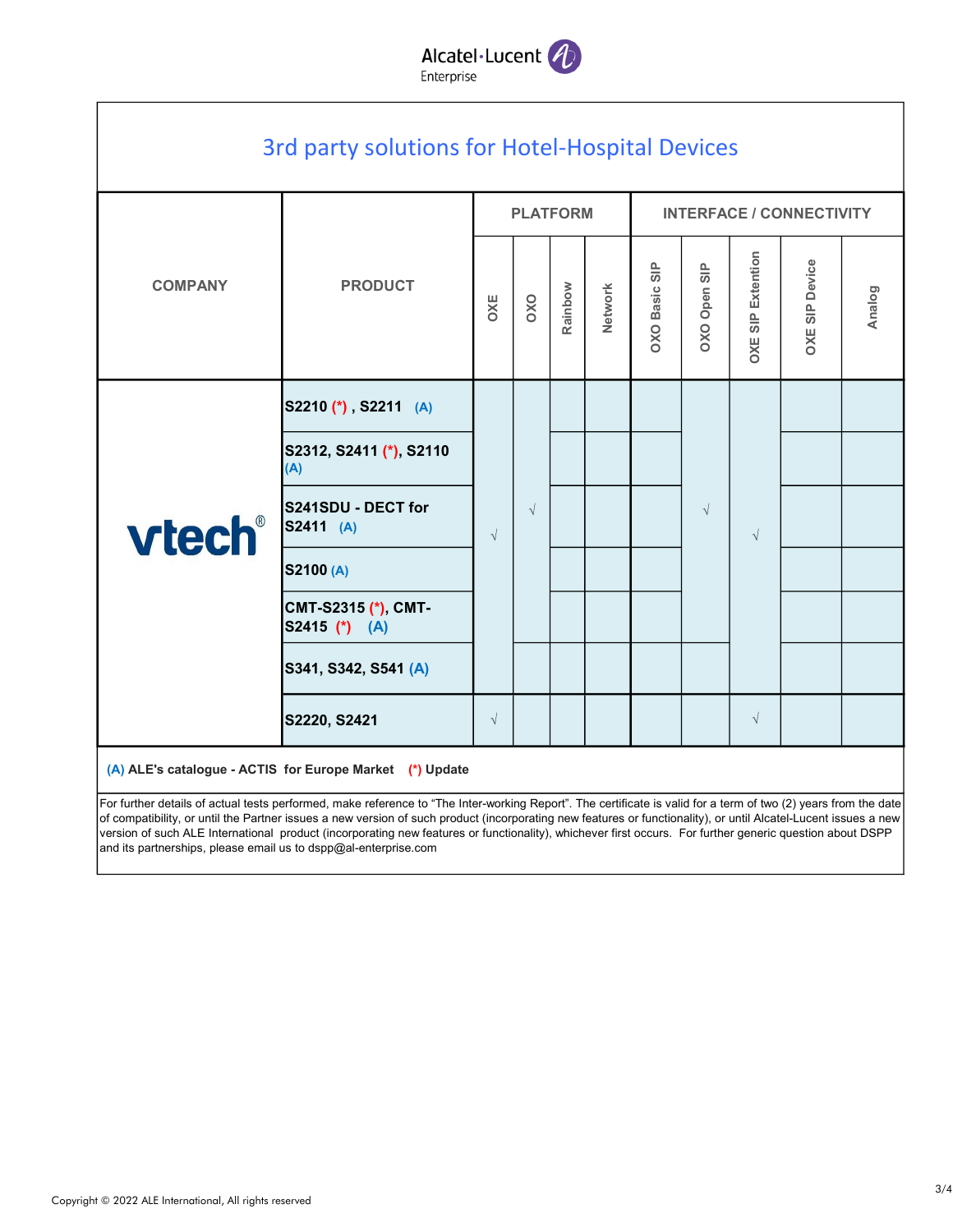

|                                  |                                        |            | <b>PLATFORM</b> |         |         | <b>INTERFACE / CONNECTIVITY</b> |              |                          |                       |            |  |  |
|----------------------------------|----------------------------------------|------------|-----------------|---------|---------|---------------------------------|--------------|--------------------------|-----------------------|------------|--|--|
| <b>COMPANY</b><br><b>PRODUCT</b> |                                        | OXE        | OXO             | Rainbow | Network | <b>OXO Basic SIP</b>            | OXO Open SIP | <b>OXE SIP Extention</b> | <b>OXE SIP Device</b> | Analog     |  |  |
|                                  | S2210 (*), S2211 (A)                   |            |                 |         |         |                                 |              |                          |                       |            |  |  |
| vtech®                           | S2312, S2411 (*), S2110<br>(A)         |            |                 |         |         |                                 |              |                          |                       |            |  |  |
|                                  | S241SDU - DECT for<br>S2411 (A)        | $\sqrt{}$  | $\sqrt{ }$      |         |         |                                 |              |                          | $\sqrt{ }$            | $\sqrt{ }$ |  |  |
|                                  | S2100 (A)                              |            |                 |         |         |                                 |              |                          |                       |            |  |  |
|                                  | CMT-S2315 (*), CMT-<br>S2415 (*) $(A)$ |            |                 |         |         |                                 |              |                          |                       |            |  |  |
|                                  | S341, S342, S541 (A)                   |            |                 |         |         |                                 |              |                          |                       |            |  |  |
|                                  | S2220, S2421                           | $\sqrt{ }$ |                 |         |         |                                 |              | $\sqrt{ }$               |                       |            |  |  |

of compatibility, or until the Partner issues a new version of such product (incorporating new features or functionality), or until Alcatel-Lucent issues a new version of such ALE International product (incorporating new features or functionality), whichever first occurs. For further generic question about DSPP and its partnerships, please email us to dspp@al-enterprise.com

 $\mathsf{r}$